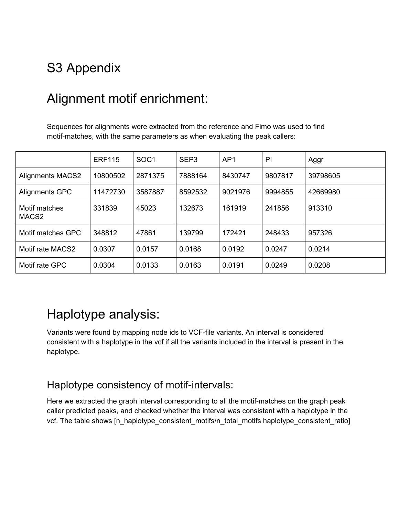# S3 Appendix

## Alignment motif enrichment:

Sequences for alignments were extracted from the reference and Fimo was used to find motif-matches, with the same parameters as when evaluating the peak callers:

|                                    | <b>ERF115</b> | SOC <sub>1</sub> | SEP <sub>3</sub> | AP <sub>1</sub> | PI      | Aggr     |
|------------------------------------|---------------|------------------|------------------|-----------------|---------|----------|
| <b>Alignments MACS2</b>            | 10800502      | 2871375          | 7888164          | 8430747         | 9807817 | 39798605 |
| Alignments GPC                     | 11472730      | 3587887          | 8592532          | 9021976         | 9994855 | 42669980 |
| Motif matches<br>MACS <sub>2</sub> | 331839        | 45023            | 132673           | 161919          | 241856  | 913310   |
| Motif matches GPC                  | 348812        | 47861            | 139799           | 172421          | 248433  | 957326   |
| Motif rate MACS2                   | 0.0307        | 0.0157           | 0.0168           | 0.0192          | 0.0247  | 0.0214   |
| Motif rate GPC                     | 0.0304        | 0.0133           | 0.0163           | 0.0191          | 0.0249  | 0.0208   |

### Haplotype analysis:

Variants were found by mapping node ids to VCF-file variants. An interval is considered consistent with a haplotype in the vcf if all the variants included in the interval is present in the haplotype.

#### Haplotype consistency of motif-intervals:

Here we extracted the graph interval corresponding to all the motif-matches on the graph peak caller predicted peaks, and checked whether the interval was consistent with a haplotype in the vcf. The table shows [n\_haplotype\_consistent\_motifs/n\_total\_motifs haplotype\_consistent\_ratio]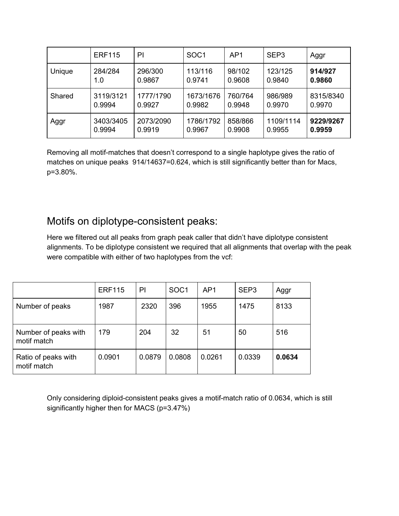|        | <b>ERF115</b> | PI        | SOC <sub>1</sub> | AP1     | SEP <sub>3</sub> | Aggr      |
|--------|---------------|-----------|------------------|---------|------------------|-----------|
| Unique | 284/284       | 296/300   | 113/116          | 98/102  | 123/125          | 914/927   |
|        | 1.0           | 0.9867    | 0.9741           | 0.9608  | 0.9840           | 0.9860    |
| Shared | 3119/3121     | 1777/1790 | 1673/1676        | 760/764 | 986/989          | 8315/8340 |
|        | 0.9994        | 0.9927    | 0.9982           | 0.9948  | 0.9970           | 0.9970    |
| Aggr   | 3403/3405     | 2073/2090 | 1786/1792        | 858/866 | 1109/1114        | 9229/9267 |
|        | 0.9994        | 0.9919    | 0.9967           | 0.9908  | 0.9955           | 0.9959    |

Removing all motif-matches that doesn't correspond to a single haplotype gives the ratio of matches on unique peaks 914/14637=0.624, which is still significantly better than for Macs, p=3.80%.

#### Motifs on diplotype-consistent peaks:

Here we filtered out all peaks from graph peak caller that didn't have diplotype consistent alignments. To be diplotype consistent we required that all alignments that overlap with the peak were compatible with either of two haplotypes from the vcf:

|                                     | <b>ERF115</b> | P      | SOC <sub>1</sub> | AP <sub>1</sub> | SEP <sub>3</sub> | Aggr   |
|-------------------------------------|---------------|--------|------------------|-----------------|------------------|--------|
| Number of peaks                     | 1987          | 2320   | 396              | 1955            | 1475             | 8133   |
| Number of peaks with<br>motif match | 179           | 204    | 32               | 51              | 50               | 516    |
| Ratio of peaks with<br>motif match  | 0.0901        | 0.0879 | 0.0808           | 0.0261          | 0.0339           | 0.0634 |

Only considering diploid-consistent peaks gives a motif-match ratio of 0.0634, which is still significantly higher then for MACS (p=3.47%)